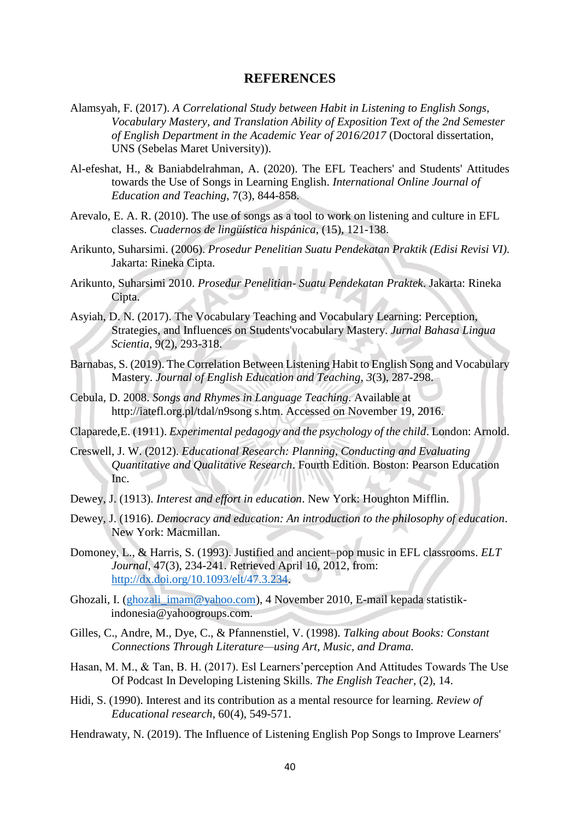## **REFERENCES**

- Alamsyah, F. (2017). *A Correlational Study between Habit in Listening to English Songs, Vocabulary Mastery, and Translation Ability of Exposition Text of the 2nd Semester of English Department in the Academic Year of 2016/2017* (Doctoral dissertation, UNS (Sebelas Maret University)).
- Al-efeshat, H., & Baniabdelrahman, A. (2020). The EFL Teachers' and Students' Attitudes towards the Use of Songs in Learning English. *International Online Journal of Education and Teaching*, 7(3), 844-858.
- Arevalo, E. A. R. (2010). The use of songs as a tool to work on listening and culture in EFL classes. *Cuadernos de lingüística hispánica*, (15), 121-138.
- Arikunto, Suharsimi. (2006). *Prosedur Penelitian Suatu Pendekatan Praktik (Edisi Revisi VI)*. Jakarta: Rineka Cipta.
- Arikunto, Suharsimi 2010. *Prosedur Penelitian- Suatu Pendekatan Praktek*. Jakarta: Rineka Cipta.
- Asyiah, D. N. (2017). The Vocabulary Teaching and Vocabulary Learning: Perception, Strategies, and Influences on Students'vocabulary Mastery. *Jurnal Bahasa Lingua Scientia*, 9(2), 293-318.
- Barnabas, S. (2019). The Correlation Between Listening Habit to English Song and Vocabulary Mastery. *Journal of English Education and Teaching*, *3*(3), 287-298.
- Cebula, D. 2008. *Songs and Rhymes in Language Teaching*. Available at http://iatefl.org.pl/tdal/n9song s.htm. Accessed on November 19, 2016.

Claparede,E. (1911). *Experimental pedagogy and the psychology of the child*. London: Arnold.

- Creswell, J. W. (2012). *Educational Research: Planning, Conducting and Evaluating Quantitative and Qualitative Research*. Fourth Edition. Boston: Pearson Education Inc.
- Dewey, J. (1913). *Interest and effort in education*. New York: Houghton Mifflin.
- Dewey, J. (1916). *Democracy and education: An introduction to the philosophy of education*. New York: Macmillan.
- Domoney, L., & Harris, S. (1993). Justified and ancient–pop music in EFL classrooms. *ELT Journal*, 47(3), 234-241. Retrieved April 10, 2012, from: [http://dx.doi.org/10.1093/elt/47.3.234.](http://dx.doi.org/10.1093/elt/47.3.234)
- Ghozali, I. [\(ghozali\\_imam@yahoo.com\)](mailto:ghozali_imam@yahoo.com), 4 November 2010, E-mail kepada statistik indonesia@yahoogroups.com.
- Gilles, C., Andre, M., Dye, C., & Pfannenstiel, V. (1998). *Talking about Books: Constant Connections Through Literature—using Art, Music, and Drama.*
- Hasan, M. M., & Tan, B. H. (2017). Esl Learners'perception And Attitudes Towards The Use Of Podcast In Developing Listening Skills*. The English Teacher*, (2), 14.
- Hidi, S. (1990). Interest and its contribution as a mental resource for learning. *Review of Educational research*, 60(4), 549-571.
- Hendrawaty, N. (2019). The Influence of Listening English Pop Songs to Improve Learners'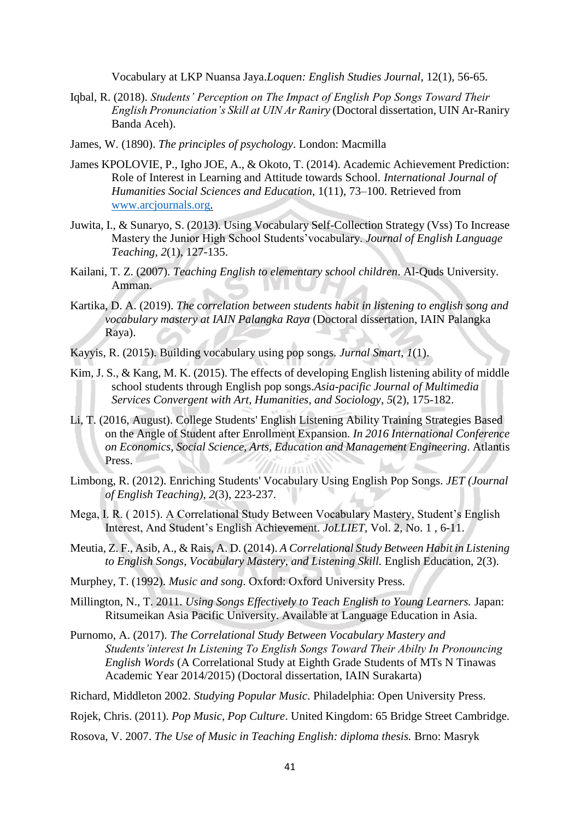Vocabulary at LKP Nuansa Jaya.*Loquen: English Studies Journal*, 12(1), 56-65.

- Iqbal, R. (2018). *Students' Perception on The Impact of English Pop Songs Toward Their English Pronunciation's Skill at UIN Ar Raniry* (Doctoral dissertation, UIN Ar-Raniry Banda Aceh).
- James, W. (1890). *The principles of psychology*. London: Macmilla
- James KPOLOVIE, P., Igho JOE, A., & Okoto, T. (2014). Academic Achievement Prediction: Role of Interest in Learning and Attitude towards School. *International Journal of Humanities Social Sciences and Education*, 1(11), 73–100. Retrieved from [www.arcjournals.org.](http://www.arcjournals.org/)
- Juwita, I., & Sunaryo, S. (2013). Using Vocabulary Self-Collection Strategy (Vss) To Increase Mastery the Junior High School Students'vocabulary. *Journal of English Language Teaching*, *2*(1), 127-135.
- Kailani, T. Z. (2007). *Teaching English to elementary school children*. Al-Quds University. Amman.
- Kartika, D. A. (2019). *The correlation between students habit in listening to english song and vocabulary mastery at IAIN Palangka Raya* (Doctoral dissertation, IAIN Palangka Raya).
- Kayyis, R. (2015). Building vocabulary using pop songs. *Jurnal Smart*, *1*(1).
- Kim, J. S., & Kang, M. K. (2015). The effects of developing English listening ability of middle school students through English pop songs.*Asia-pacific Journal of Multimedia Services Convergent with Art, Humanities, and Sociology*, *5*(2), 175-182.
- Li, T. (2016, August). College Students' English Listening Ability Training Strategies Based on the Angle of Student after Enrollment Expansion*. In 2016 International Conference on Economics, Social Science, Arts, Education and Management Engineering*. Atlantis Press.
- Limbong, R. (2012). Enriching Students' Vocabulary Using English Pop Songs. *JET (Journal of English Teaching)*, *2*(3), 223-237.
- Mega, I. R. ( 2015). A Correlational Study Between Vocabulary Mastery, Student's English Interest, And Student's English Achievement. *JoLLIET*, Vol. 2, No. 1 , 6-11.
- Meutia, Z. F., Asib, A., & Rais, A. D. (2014). *A Correlational Study Between Habit in Listening to English Songs, Vocabulary Mastery, and Listening Skill.* English Education, 2(3).
- Murphey, T. (1992). *Music and song*. Oxford: Oxford University Press.
- Millington, N., T. 2011. *Using Songs Effectively to Teach English to Young Learners.* Japan: Ritsumeikan Asia Pacific University. Available at Language Education in Asia.
- Purnomo, A. (2017). *The Correlational Study Between Vocabulary Mastery and Students'interest In Listening To English Songs Toward Their Abilty In Pronouncing English Words* (A Correlational Study at Eighth Grade Students of MTs N Tinawas Academic Year 2014/2015) (Doctoral dissertation, IAIN Surakarta)
- Richard, Middleton 2002. *Studying Popular Music*. Philadelphia: Open University Press.
- Rojek, Chris. (2011). *Pop Music, Pop Culture*. United Kingdom: 65 Bridge Street Cambridge.
- Rosova, V. 2007. *The Use of Music in Teaching English: diploma thesis.* Brno: Masryk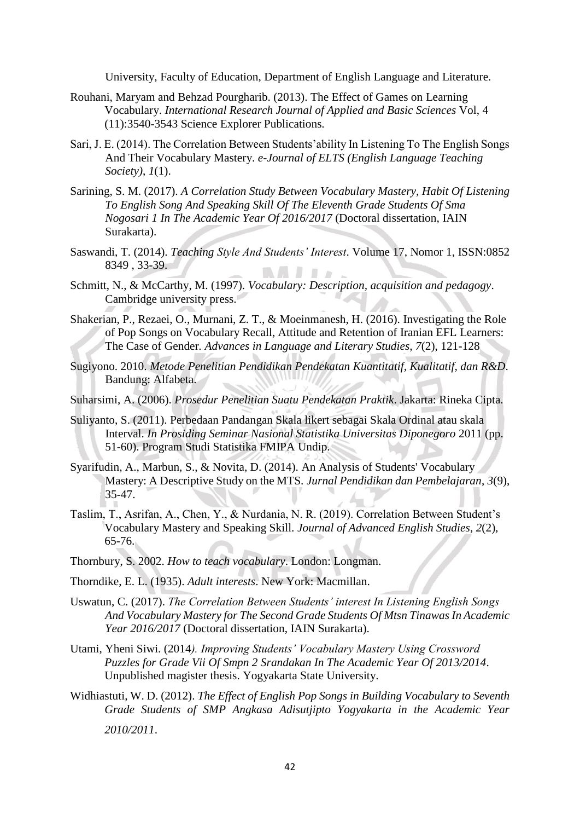University, Faculty of Education, Department of English Language and Literature.

- Rouhani, Maryam and Behzad Pourgharib. (2013). The Effect of Games on Learning Vocabulary. *International Research Journal of Applied and Basic Sciences* Vol, 4 (11):3540-3543 Science Explorer Publications*.*
- Sari, J. E. (2014). The Correlation Between Students'ability In Listening To The English Songs And Their Vocabulary Mastery. *e-Journal of ELTS (English Language Teaching Society)*, *1*(1).
- Sarining, S. M. (2017). *A Correlation Study Between Vocabulary Mastery, Habit Of Listening To English Song And Speaking Skill Of The Eleventh Grade Students Of Sma Nogosari 1 In The Academic Year Of 2016/2017* (Doctoral dissertation, IAIN Surakarta).
- Saswandi, T. (2014). *Teaching Style And Students' Interest*. Volume 17, Nomor 1, ISSN:0852 8349 , 33-39. MITT.
- Schmitt, N., & McCarthy, M. (1997). *Vocabulary: Description, acquisition and pedagogy*. Cambridge university press.
- Shakerian, P., Rezaei, O., Murnani, Z. T., & Moeinmanesh, H. (2016). Investigating the Role of Pop Songs on Vocabulary Recall, Attitude and Retention of Iranian EFL Learners: The Case of Gender*. Advances in Language and Literary Studies*, *7*(2), 121-128
- Sugiyono. 2010. *Metode Penelitian Pendidikan Pendekatan Kuantitatif, Kualitatif, dan R&D*. Bandung: Alfabeta.
- Suharsimi, A. (2006). *Prosedur Penelitian Suatu Pendekatan Praktik*. Jakarta: Rineka Cipta.
- Suliyanto, S. (2011). Perbedaan Pandangan Skala likert sebagai Skala Ordinal atau skala Interval. *In Prosiding Seminar Nasional Statistika Universitas Diponegoro* 2011 (pp. 51-60). Program Studi Statistika FMIPA Undip.
- Syarifudin, A., Marbun, S., & Novita, D. (2014). An Analysis of Students' Vocabulary Mastery: A Descriptive Study on the MTS. *Jurnal Pendidikan dan Pembelajaran*, *3*(9),  $35 - 47$ .
- Taslim, T., Asrifan, A., Chen, Y., & Nurdania, N. R. (2019). Correlation Between Student's Vocabulary Mastery and Speaking Skill. *Journal of Advanced English Studies*, *2*(2), 65-76.
- Thornbury, S. 2002. *How to teach vocabulary*. London: Longman.
- Thorndike, E. L. (1935). *Adult interests*. New York: Macmillan.
- Uswatun, C. (2017). *The Correlation Between Students' interest In Listening English Songs And Vocabulary Mastery for The Second Grade Students Of Mtsn Tinawas In Academic Year 2016/2017* (Doctoral dissertation, IAIN Surakarta).
- Utami, Yheni Siwi. (2014*). Improving Students' Vocabulary Mastery Using Crossword Puzzles for Grade Vii Of Smpn 2 Srandakan In The Academic Year Of 2013/2014*. Unpublished magister thesis. Yogyakarta State University.
- Widhiastuti, W. D. (2012). *The Effect of English Pop Songs in Building Vocabulary to Seventh Grade Students of SMP Angkasa Adisutjipto Yogyakarta in the Academic Year 2010/2011*.